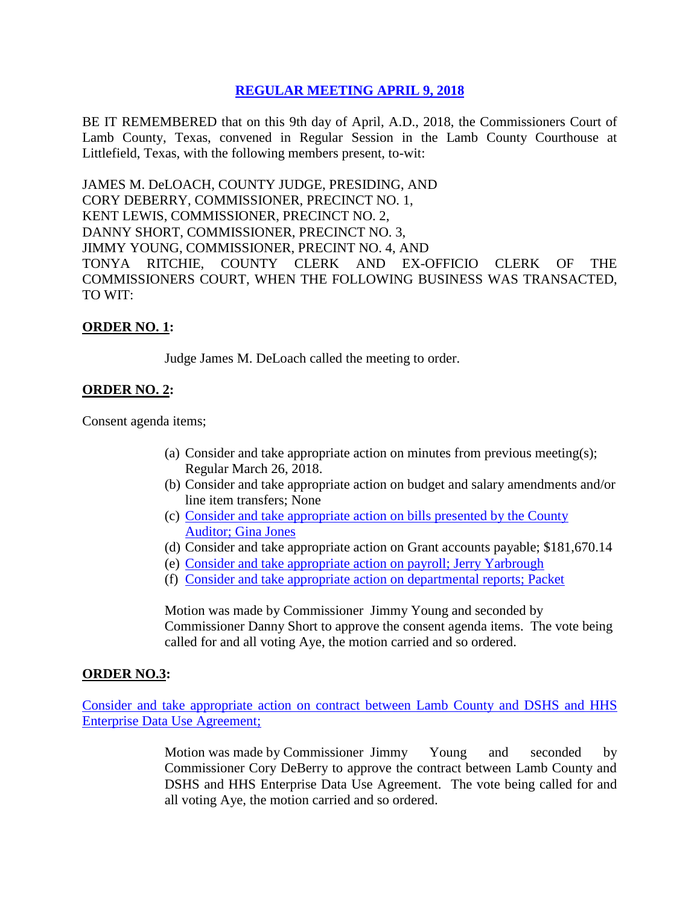# **REGULAR [MEETING APRIL 9, 2018](Links%202018-04-09-Regular/01%20AGENDA%20REGULAR%20MEETING%20APRIL%209,%202018.pdf)**

BE IT REMEMBERED that on this 9th day of April, A.D., 2018, the Commissioners Court of Lamb County, Texas, convened in Regular Session in the Lamb County Courthouse at Littlefield, Texas, with the following members present, to-wit:

JAMES M. DeLOACH, COUNTY JUDGE, PRESIDING, AND CORY DEBERRY, COMMISSIONER, PRECINCT NO. 1, KENT LEWIS, COMMISSIONER, PRECINCT NO. 2, DANNY SHORT, COMMISSIONER, PRECINCT NO. 3, JIMMY YOUNG, COMMISSIONER, PRECINT NO. 4, AND TONYA RITCHIE, COUNTY CLERK AND EX-OFFICIO CLERK OF THE COMMISSIONERS COURT, WHEN THE FOLLOWING BUSINESS WAS TRANSACTED, TO WIT:

### **ORDER NO. 1:**

Judge James M. DeLoach called the meeting to order.

### **ORDER NO. 2:**

Consent agenda items;

- (a) Consider and take appropriate action on minutes from previous meeting(s); Regular March 26, 2018.
- (b) Consider and take appropriate action on budget and salary amendments and/or line item transfers; None
- (c) [Consider and take appropriate action on bills presented by the County](Links%202018-04-09-Regular/03%20ACCOUNTS%20PAYABLE%20REGULAR%20MEETING%20APRIL%209,%202018.pdf)  Auditor; [Gina Jones](Links%202018-04-09-Regular/03%20ACCOUNTS%20PAYABLE%20REGULAR%20MEETING%20APRIL%209,%202018.pdf)
- (d) Consider and take appropriate action on Grant accounts payable; \$181,670.14
- (e) [Consider and take appropriate action on payroll;](Links%202018-04-09-Regular/04%20PAYROLL%20PAYABLES%20REGULAR%20MEETING%20APRIL%209,%202018.pdf) Jerry Yarbrough
- (f) [Consider and take appropriate action on departmental reports;](Links%202018-04-09-Regular/05%20DEPARTMENTAL%20REPORTS%20REGULAR%20MEETING%20APRIL%209,%202018.pdf) Packet

Motion was made by Commissioner Jimmy Young and seconded by Commissioner Danny Short to approve the consent agenda items. The vote being called for and all voting Aye, the motion carried and so ordered.

### **ORDER NO.3:**

[Consider and take appropriate action on contract between Lamb County and DSHS and HHS](Links%202018-04-09-Regular/06%20CONTRACT%20WITH%20DSHS%20AND%20HHS%20ENTERPRISE%20DATE%20USE%20AGREEMENT%20REGULAR%20MEETING%20APRIL%209,%202018.pdf)  [Enterprise Data Use](Links%202018-04-09-Regular/06%20CONTRACT%20WITH%20DSHS%20AND%20HHS%20ENTERPRISE%20DATE%20USE%20AGREEMENT%20REGULAR%20MEETING%20APRIL%209,%202018.pdf) Agreement;

> Motion was made by Commissioner Jimmy Young and seconded by Commissioner Cory DeBerry to approve the contract between Lamb County and DSHS and HHS Enterprise Data Use Agreement. The vote being called for and all voting Aye, the motion carried and so ordered.